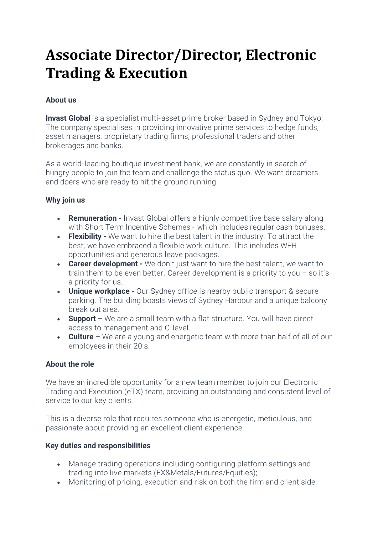# **Associate Director/Director, Electronic Trading & Execution**

## **About us**

**Invast Global** is a specialist multi-asset prime broker based in Sydney and Tokyo. The company specialises in providing innovative prime services to hedge funds, asset managers, proprietary trading firms, professional traders and other brokerages and banks.

As a world-leading boutique investment bank, we are constantly in search of hungry people to join the team and challenge the status quo. We want dreamers and doers who are ready to hit the ground running.

#### **Why join us**

- **Remuneration** Invast Global offers a highly competitive base salary along with Short Term Incentive Schemes - which includes regular cash bonuses.
- **Flexibility** We want to hire the best talent in the industry. To attract the best, we have embraced a flexible work culture. This includes WFH opportunities and generous leave packages.
- **Career development** We don't just want to hire the best talent, we want to train them to be even better. Career development is a priority to you – so it's a priority for us.
- **Unique workplace** Our Sydney office is nearby public transport & secure parking. The building boasts views of Sydney Harbour and a unique balcony break out area.
- **Support** We are a small team with a flat structure. You will have direct access to management and C-level.
- **Culture** We are a young and energetic team with more than half of all of our employees in their 20's.

### **About the role**

We have an incredible opportunity for a new team member to join our Electronic Trading and Execution (eTX) team, providing an outstanding and consistent level of service to our key clients.

This is a diverse role that requires someone who is energetic, meticulous, and passionate about providing an excellent client experience.

#### **Key duties and responsibilities**

- Manage trading operations including configuring platform settings and trading into live markets (FX&Metals/Futures/Equities);
- Monitoring of pricing, execution and risk on both the firm and client side;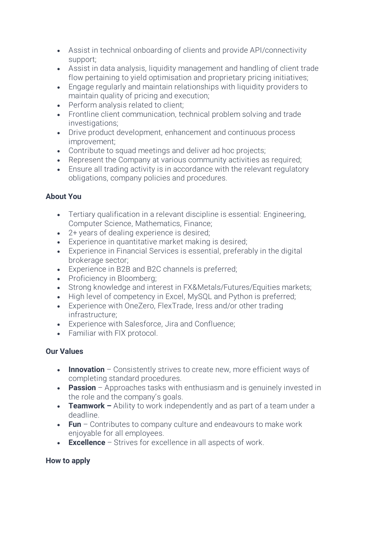- Assist in technical onboarding of clients and provide API/connectivity support;
- Assist in data analysis, liquidity management and handling of client trade flow pertaining to yield optimisation and proprietary pricing initiatives;
- Engage regularly and maintain relationships with liquidity providers to maintain quality of pricing and execution;
- Perform analysis related to client:
- Frontline client communication, technical problem solving and trade investigations;
- Drive product development, enhancement and continuous process improvement;
- Contribute to squad meetings and deliver ad hoc projects;
- Represent the Company at various community activities as required;
- Ensure all trading activity is in accordance with the relevant regulatory obligations, company policies and procedures.

## **About You**

- Tertiary qualification in a relevant discipline is essential: Engineering, Computer Science, Mathematics, Finance;
- 2+ years of dealing experience is desired;
- Experience in quantitative market making is desired;
- Experience in Financial Services is essential, preferably in the digital brokerage sector;
- Experience in B2B and B2C channels is preferred;
- Proficiency in Bloomberg;
- Strong knowledge and interest in FX&Metals/Futures/Equities markets;
- High level of competency in Excel, MySQL and Python is preferred:
- Experience with OneZero, FlexTrade, Iress and/or other trading infrastructure;
- Experience with Salesforce, Jira and Confluence;
- Familiar with FIX protocol.

## **Our Values**

- **Innovation** Consistently strives to create new, more efficient ways of completing standard procedures.
- **Passion** Approaches tasks with enthusiasm and is genuinely invested in the role and the company's goals.
- **Teamwork** Ability to work independently and as part of a team under a deadline.
- **Fun** Contributes to company culture and endeavours to make work enjoyable for all employees.
- **Excellence**  Strives for excellence in all aspects of work.

## **How to apply**